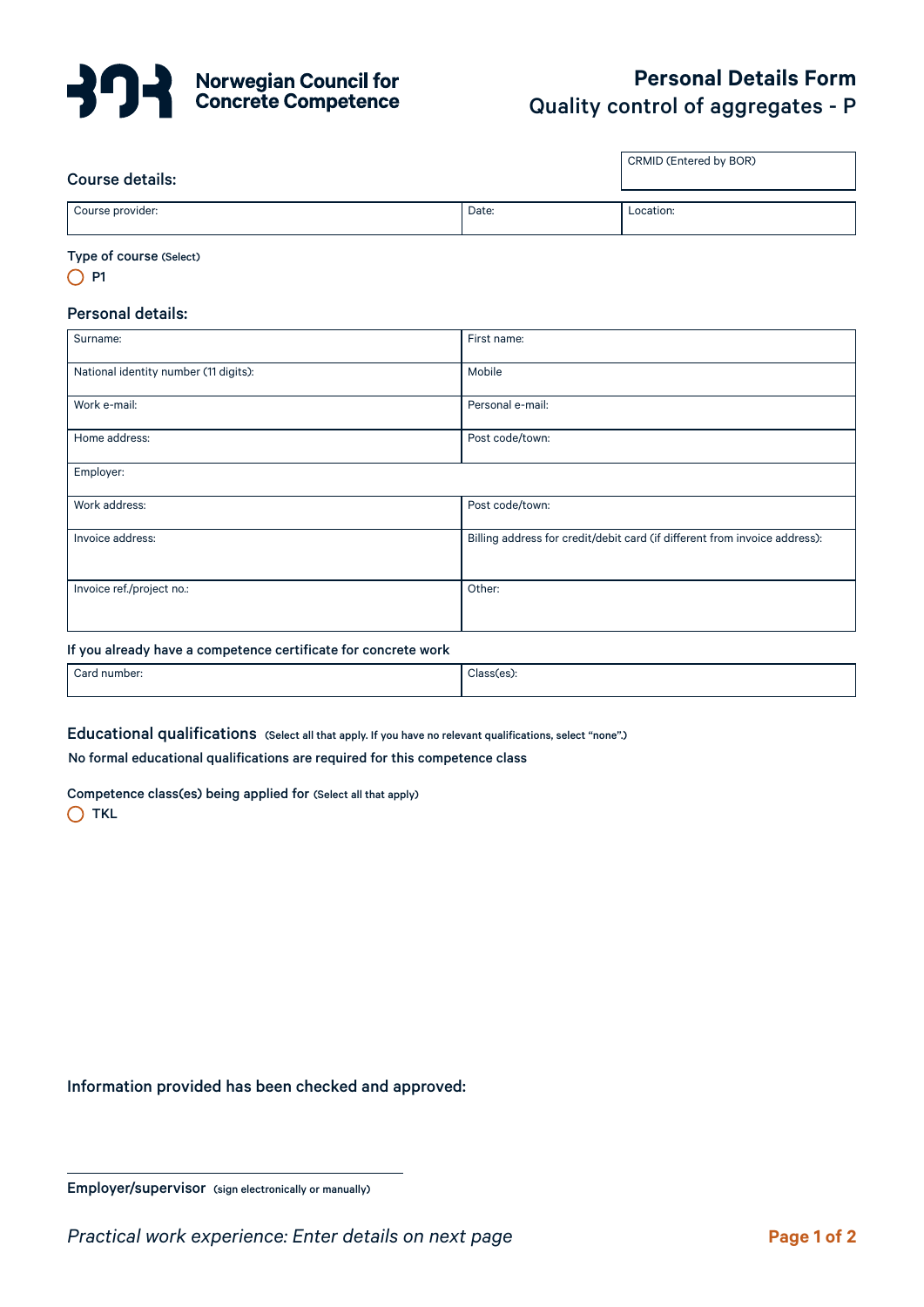

# **Personal Details Form**  Quality control of aggregates - P

CRMID (Entered by BOR)

# Course details:

| Course details:<br>. |       |           |
|----------------------|-------|-----------|
|                      |       |           |
| Course provider:     | Date: | .ocation: |

#### Type of course (Select)

 $O$  P1

# Personal details:

| Surname:                              | First name:                                                                |
|---------------------------------------|----------------------------------------------------------------------------|
| National identity number (11 digits): | Mobile                                                                     |
| Work e-mail:                          | Personal e-mail:                                                           |
| Home address:                         | Post code/town:                                                            |
| Employer:                             |                                                                            |
| Work address:                         | Post code/town:                                                            |
| Invoice address:                      | Billing address for credit/debit card (if different from invoice address): |
| Invoice ref./project no.:             | Other:                                                                     |

#### If you already have a competence certificate for concrete work

| Card number: | Classies |
|--------------|----------|
|              |          |

Educational qualifications (Select all that apply. If you have no relevant qualifications, select "none".)

No formal educational qualifications are required for this competence class

Competence class(es) being applied for (Select all that apply)

 $\bigcap$  TKL

Information provided has been checked and approved:

Employer/supervisor (sign electronically or manually)